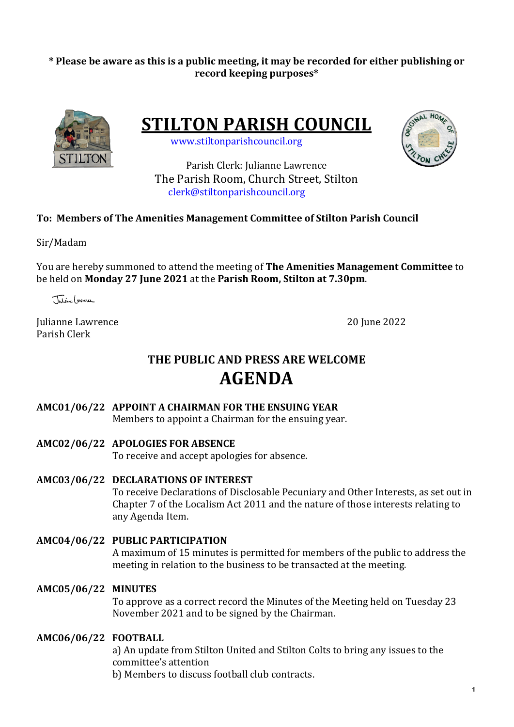# \* Please be aware as this is a public meeting, it may be recorded for either publishing or **record keeping purposes\***



**STILTON PARISH COUNCIL** 

 www.stiltonparishcouncil.org



Parish Clerk: Julianne Lawrence The Parish Room, Church Street. Stilton clerk@stiltonparishcouncil.org

# **To: Members of The Amenities Management Committee of Stilton Parish Council**

Sir/Madam

You are hereby summoned to attend the meeting of **The Amenities Management Committee** to be held on **Monday 27 June 2021** at the **Parish Room, Stilton at 7.30pm**.

Tutione ( SWIECC

Julianne Lawrence 20 June 2022 Parish Clerk

# **THE PUBLIC AND PRESS ARE WELCOME AGENDA**

# AMC01/06/22 APPOINT A CHAIRMAN FOR THE ENSUING YEAR

Members to appoint a Chairman for the ensuing year.

# **AMC02/06/22 APOLOGIES FOR ABSENCE**

To receive and accept apologies for absence.

**AMC03/06/22 DECLARATIONS OF INTEREST**

To receive Declarations of Disclosable Pecuniary and Other Interests, as set out in Chapter 7 of the Localism Act 2011 and the nature of those interests relating to any Agenda Item.

**AMC04/06/22 PUBLIC PARTICIPATION** A maximum of 15 minutes is permitted for members of the public to address the meeting in relation to the business to be transacted at the meeting.

# **AMC05/06/22 MINUTES**

To approve as a correct record the Minutes of the Meeting held on Tuesday 23 November 2021 and to be signed by the Chairman.

# **AMC06/06/22 FOOTBALL**

a) An update from Stilton United and Stilton Colts to bring any issues to the committee's attention

b) Members to discuss football club contracts.